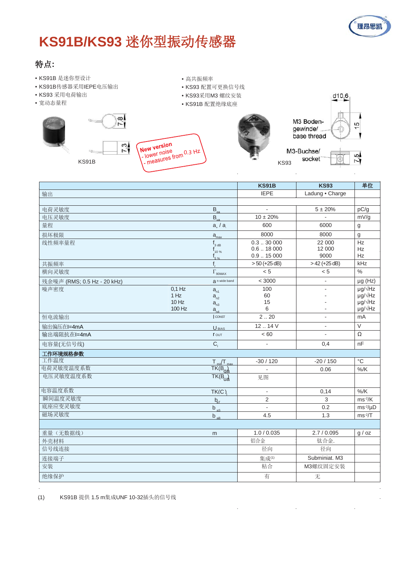

# **KS91B/KS93** 迷你型振动传感器

 $\frac{1}{2}$ 

## 特点**:**

- KS91B 是迷你型设计
- KS91B传感器采用IEPE电压输出
- KS93 采用电荷输出
- 宽动态量程
	-

| $\overline{7}$ . | I New version              | M           |
|------------------|----------------------------|-------------|
| KS91B            | I - measures from 0.3 Hz 1 | <b>KS93</b> |

• 高共振频率

• KS93 配置可更换信号线 • KS93采用M3 螺纹安装 • KS91B 配置绝缘底座





M3-Buchse/ socket



 $\cdot$  $\ddot{\phantom{a}}$ 

|                                                          | <b>KS91B</b>             | <b>KS93</b>          | 单位                                   |
|----------------------------------------------------------|--------------------------|----------------------|--------------------------------------|
| 输出                                                       | <b>IEPE</b>              | Ladung · Charge      |                                      |
|                                                          |                          |                      |                                      |
| 电荷灵敏度<br>$B_{\alpha}$                                    | $\mathbf{r}$             | $5 \pm 20\%$         | pC/g                                 |
| 电压灵敏度<br>$B_{\ldots}$                                    | $10 \pm 20\%$            |                      | mV/g                                 |
| 量程<br>$a_{\scriptscriptstyle +}/a$                       | 600                      | 6000                 | g                                    |
| 损坏极限<br>$a_{\text{max}}$                                 | 8000                     | 8000                 | g                                    |
| 线性频率量程<br>$f_{3 dB}$                                     | 0.330000                 | 22 000               | Hz                                   |
| $_{10\%}$                                                | 0.618000<br>$0.9-.15000$ | 12 000<br>9000       | <b>Hz</b><br>Hz                      |
| $f_{5\%}$<br>共振频率<br>f                                   | $>50$ (+25 dB)           | $>42 (+25 dB)$       | kHz                                  |
| 横向灵敏度                                                    | < 5                      | < 5                  | $\%$                                 |
| $\Gamma_{\rm 90MAX}$                                     |                          |                      |                                      |
| a n wide band<br>残余噪声 (RMS; 0.5 Hz - 20 kHz)<br>$0,1$ Hz | < 3000<br>100            | $\blacksquare$<br>ä, | $\mu$ g (Hz)<br>$\mu$ g/ $\sqrt{Hz}$ |
| 噪声密度<br>$a_{n1}$<br>1 Hz<br>$a_{n2}$                     | 60                       |                      | $\mu$ g/ $\sqrt{Hz}$                 |
| $10$ Hz<br>$a_{n3}$                                      | 15                       |                      | µg/√Hz                               |
| 100 Hz<br>$a_{nA}$                                       | 6                        |                      | $\mu$ g/ $\sqrt{Hz}$                 |
| CONST<br>恒电流输出                                           | 2.20                     | $\overline{a}$       | mA                                   |
| 输出偏压在l=4mA<br>U <sub>BIAS</sub>                          | 12.14V                   | $\blacksquare$       | $\overline{\vee}$                    |
| 输出端阻抗在l=4mA<br><b>r</b> out                              | < 60                     | $\mathbf{r}$         | $\Omega$                             |
| $C_{i}$<br>电容量(无信号线)                                     | $\mathbf{r}$             | 0,4                  | nF                                   |
| 工作环境规格参数                                                 |                          |                      |                                      |
| 工作温度<br>$T_{\text{min}}/T_{\text{max}}$                  | $-30/120$                | $-20/150$            | $^{\circ}{\rm C}$                    |
| 电荷灵敏度温度系数<br>$TK(B_{0A})$                                |                          | 0.06                 | $%$ /K                               |
| 电压灵敏度温度系数<br>$TK(B_{\text{U}2})$                         | 见图                       |                      |                                      |
| 电容温度系数<br>TK(C)                                          | $\blacksquare$           | 0,14                 | $%$ /K                               |
| 瞬间温度灵敏度<br>$b_{\rm at}$                                  | 2                        | 3                    | $ms-2/K$                             |
| 底座应变灵敏度<br>$b_{\underline{aS}}$                          | $\mathbf{r}$             | 0.2                  | $ms-2/\mu D$                         |
| 磁场灵敏度<br>$b$ <sub>aB</sub>                               | 4.5                      | 1.3                  | $ms-2/T$                             |
|                                                          |                          |                      |                                      |
| 重量(无数据线)<br>m                                            | 1.0 / 0.035              | 2.7/0.095            | g / oz                               |
| 外壳材料                                                     | 铝合金                      | 钛合金.                 |                                      |
| 信号线连接                                                    | 径向                       | 径向                   |                                      |
| 连接端子                                                     | 集成(1)                    | Subminiat. M3        |                                      |
| 安装                                                       | 粘合                       | M3螺纹固定安装             |                                      |
| 绝缘保护                                                     | 有                        | 无                    |                                      |

 $\ddot{\phantom{a}}$ 

 $\ddot{\phantom{a}}$ 

(1) KS91B 提供 1.5 m集成UNF 10-32插头的信号线

 $\bar{z}$